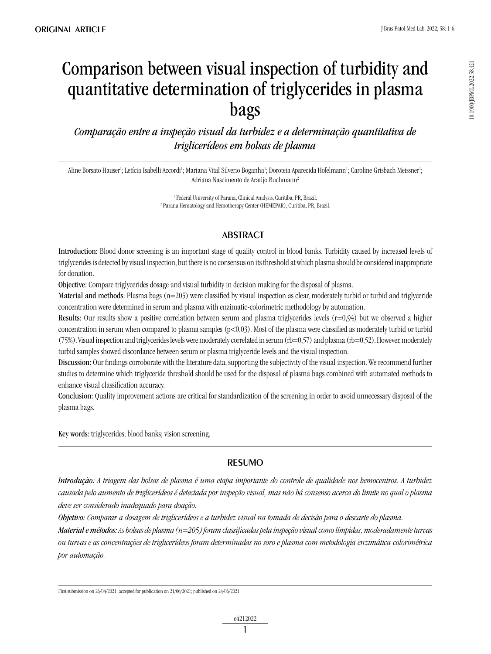# Comparison between visual inspection of turbidity and quantitative determination of triglycerides in plasma bags

*Comparação entre a inspeção visual da turbidez e a determinação quantitativa de triglicerídeos em bolsas de plasma*

Aline Borsato Hauser<sup>ı</sup>; Letícia Isabelli Accordi<sup>ı</sup>; Mariana Vital Silverio Boganha<sup>ı</sup>; Doroteia Aparecida Hofelmann<sup>ı</sup>; Caroline Grisbach Meissner<sup>ı</sup>; Adriana Nascimento de Araújo Buchmann2

> <sup>1</sup> Federal University of Parana, Clinical Analysis, Curitiba, PR, Brazil. 2 Parana Hematology and Hemotherapy Center (HEMEPAR), Curitiba, PR, Brazil.

## **ABSTRACT**

Introduction: Blood donor screening is an important stage of quality control in blood banks. Turbidity caused by increased levels of triglycerides is detected by visual inspection, but there is no consensus on its threshold at which plasma should be considered inappropriate for donation.

Objective: Compare triglycerides dosage and visual turbidity in decision making for the disposal of plasma.

Material and methods: Plasma bags  $(n=205)$  were classified by visual inspection as clear, moderately turbid or turbid and triglyceride concentration were determined in serum and plasma with enzimatic-colorimetric methodology by automation.

Results: Our results show a positive correlation between serum and plasma triglycerides levels  $(r=0.94)$  but we observed a higher concentration in serum when compared to plasma samples  $(p<0,03)$ . Most of the plasma were classified as moderately turbid or turbid  $(75%)$ . Visual inspection and triglycerides levels were moderately correlated in serum  $(rb=0.57)$  and plasma  $(rb=0.52)$ . However, moderately turbid samples showed discordance between serum or plasma triglyceride levels and the visual inspection.

Discussion: Our findings corroborate with the literature data, supporting the subjectivity of the visual inspection. We recommend further studies to determine which triglyceride threshold should be used for the disposal of plasma bags combined with automated methods to enhance visual classification accuracy.

Conclusion: Quality improvement actions are critical for standardization of the screening in order to avoid unnecessary disposal of the plasma bags.

Key words: triglycerides; blood banks; vision screening.

### **RESUMO**

*Introdução: A triagem das bolsas de plasma é uma etapa importante do controle de qualidade nos hemocentros. A turbidez causada pelo aumento de triglicerídeos é detectada por inspeção visual, mas não há consenso acerca do limite no qual o plasma deve ser considerado inadequado para doação.*

*Objetivo: Comparar a dosagem de triglicerídeos e a turbidez visual na tomada de decisão para o descarte do plasma.*

*Material e métodos: As bolsas de plasma (n=205) foram classificadas pela inspeção visual como límpidas, moderadamente turvas ou turvas e as concentrações de triglicerídeos foram determinadas no soro e plasma com metodologia enzimática-colorimétrica por automação.*

First submission on 26/04/2021; accepted for publication on 21/06/2021; published on 24/06/2021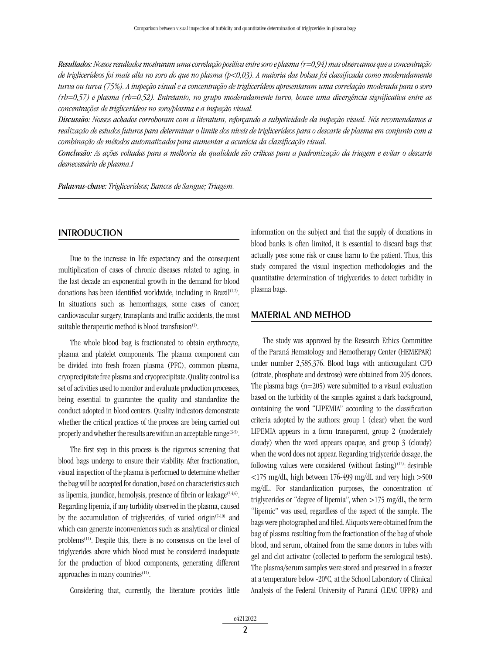*Resultados: Nossos resultados mostraram uma correlação positiva entre soro e plasma (r=0,94) mas observamos que a concentração de triglicerídeos foi mais alta no soro do que no plasma (p<0,03). A maioria das bolsas foi classificada como moderadamente turva ou turva (75%). A inspeção visual e a concentração de triglicerídeos apresentaram uma correlação moderada para o soro (rb=0,57) e plasma (rb=0,52). Entretanto, no grupo moderadamente turvo, houve uma divergência significativa entre as concentrações de triglicerídeos no soro/plasma e a inspeção visual.*

*Discussão: Nossos achados corroboram com a literatura, reforçando a subjetividade da inspeção visual. Nós recomendamos a realização de estudos futuros para determinar o limite dos níveis de triglicerídeos para o descarte de plasma em conjunto com a combinação de métodos automatizados para aumentar a acurácia da classificação visual.*

*Conclusão: As ações voltadas para a melhoria da qualidade são críticas para a padronização da triagem e evitar o descarte desnecessário de plasma.t*

*Palavras-chave: Triglicerídeos; Bancos de Sangue; Triagem.*

#### **INTRODUCTION**

Due to the increase in life expectancy and the consequent multiplication of cases of chronic diseases related to aging, in the last decade an exponential growth in the demand for blood donations has been identified worldwide, including in Brazil<sup>(1,2)</sup>. In situations such as hemorrhages, some cases of cancer, cardiovascular surgery, transplants and traffic accidents, the most suitable therapeutic method is blood transfusion<sup>(1)</sup>.

The whole blood bag is fractionated to obtain erythrocyte, plasma and platelet components. The plasma component can be divided into fresh frozen plasma (PFC), common plasma, cryoprecipitate free plasma and cryoprecipitate. Quality control is a set of activities used to monitor and evaluate production processes, being essential to guarantee the quality and standardize the conduct adopted in blood centers. Quality indicators demonstrate whether the critical practices of the process are being carried out properly and whether the results are within an acceptable range<sup>(3-5)</sup>.

The first step in this process is the rigorous screening that blood bags undergo to ensure their viability. After fractionation, visual inspection of the plasma is performed to determine whether the bag will be accepted for donation, based on characteristics such as lipemia, jaundice, hemolysis, presence of fibrin or leakage $(3,4,6)$ . Regarding lipemia, if any turbidity observed in the plasma, caused by the accumulation of triglycerides, of varied origin<sup> $(7-10)$ </sup> and which can generate inconveniences such as analytical or clinical problems<sup>(11)</sup>. Despite this, there is no consensus on the level of triglycerides above which blood must be considered inadequate for the production of blood components, generating different approaches in many countries<sup>(11)</sup>.

Considering that, currently, the literature provides little

information on the subject and that the supply of donations in blood banks is often limited, it is essential to discard bags that actually pose some risk or cause harm to the patient. Thus, this study compared the visual inspection methodologies and the quantitative determination of triglycerides to detect turbidity in plasma bags.

#### MATERIAL AND METHOD

The study was approved by the Research Ethics Committee of the Paraná Hematology and Hemotherapy Center (HEMEPAR) under number 2,585,376. Blood bags with anticoagulant CPD (citrate, phosphate and dextrose) were obtained from 205 donors. The plasma bags  $(n=205)$  were submitted to a visual evaluation based on the turbidity of the samples against a dark background, containing the word "LIPEMIA" according to the classification criteria adopted by the authors: group 1 (clear) when the word LIPEMIA appears in a form transparent, group 2 (moderately cloudy) when the word appears opaque, and group 3 (cloudy) when the word does not appear. Regarding triglyceride dosage, the following values were considered (without fasting)<sup>(12)</sup>: desirable  $\langle 175 \text{ mg/dL}$ , high between 176-499 mg/dL and very high  $>500$ mg/dL. For standardization purposes, the concentration of triglycerides or "degree of lipemia", when >175 mg/dL, the term "lipemic" was used, regardless of the aspect of the sample. The bags were photographed and filed. Aliquots were obtained from the bag of plasma resulting from the fractionation of the bag of whole blood, and serum, obtained from the same donors in tubes with gel and clot activator (collected to perform the serological tests). The plasma/serum samples were stored and preserved in a freezer at a temperature below -20ºC, at the School Laboratory of Clinical Analysis of the Federal University of Paraná (LEAC-UFPR) and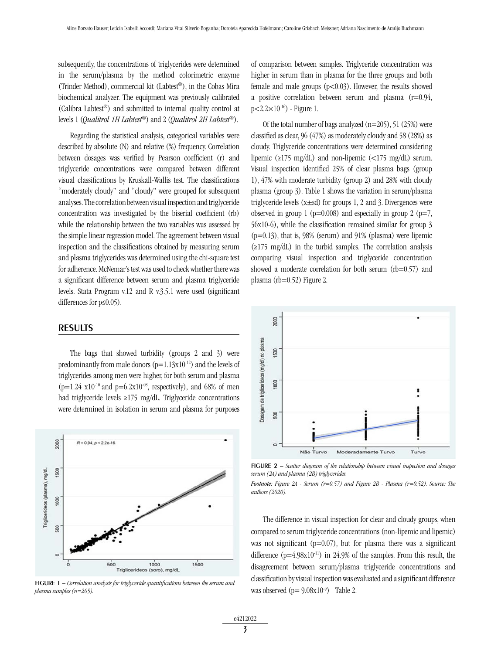subsequently, the concentrations of triglycerides were determined in the serum/plasma by the method colorimetric enzyme (Trinder Method), commercial kit (Labtest®), in the Cobas Mira biochemical analyzer. The equipment was previously calibrated (Calibra Labtest®) and submitted to internal quality control at levels 1 (*Qualitrol 1H Labtest*®) and 2 (*Qualitrol 2H Labtest*®).

Regarding the statistical analysis, categorical variables were described by absolute (N) and relative (%) frequency. Correlation between dosages was verified by Pearson coefficient (r) and triglyceride concentrations were compared between different visual classifications by Kruskall-Wallis test. The classifications "moderately cloudy" and "cloudy" were grouped for subsequent analyses. The correlation between visual inspection and triglyceride concentration was investigated by the biserial coefficient (rb) while the relationship between the two variables was assessed by the simple linear regression model. The agreement between visual inspection and the classifications obtained by measuring serum and plasma triglycerides was determined using the chi-square test for adherence. McNemar's test was used to check whether there was a significant difference between serum and plasma triglyceride levels. Stata Program v.12 and R v.3.5.1 were used (significant differences for p≤0.05).

#### RESULTS

The bags that showed turbidity (groups 2 and 3) were predominantly from male donors  $(p=1.13x10^{-12})$  and the levels of triglycerides among men were higher, for both serum and plasma  $(p=1.24 \text{ x}10^{-10} \text{ and } p=6.2 \text{ x}10^{-08} \text{, respectively)}$ , and 68% of men had triglyceride levels ≥175 mg/dL. Triglyceride concentrations were determined in isolation in serum and plasma for purposes



figure 1 – *Correlation analysis for triglyceride quantifications between the serum and plasma samples (n=205).*

of comparison between samples. Triglyceride concentration was higher in serum than in plasma for the three groups and both female and male groups  $(p<0.03)$ . However, the results showed a positive correlation between serum and plasma  $(r=0.94,$  $p < 2.2 \times 10^{-16}$ ) - Figure 1.

Of the total number of bags analyzed  $(n=205)$ , 51 (25%) were classified as clear, 96 (47%) as moderately cloudy and 58 (28%) as cloudy. Triglyceride concentrations were determined considering lipemic (≥175 mg/dL) and non-lipemic (<175 mg/dL) serum. Visual inspection identified 25% of clear plasma bags (group 1), 47% with moderate turbidity (group 2) and 28% with cloudy plasma (group 3). Table 1 shows the variation in serum/plasma triglyceride levels  $(x \pm sd)$  for groups 1, 2 and 3. Divergences were observed in group 1 ( $p=0.008$ ) and especially in group 2 ( $p=7$ , 56x10-6), while the classification remained similar for group 3  $(p=0.13)$ , that is, 98% (serum) and 91% (plasma) were lipemic (≥175 mg/dL) in the turbid samples. The correlation analysis comparing visual inspection and triglyceride concentration showed a moderate correlation for both serum (rb=0.57) and plasma (rb=0.52) Figure 2.



**FIGURE 2** – *Scatter diagram of the relationship between visual inspection and dosages serum (2A) and plasma (2B) triglycerides.*

The difference in visual inspection for clear and cloudy groups, when compared to serum triglyceride concentrations (non-lipemic and lipemic) was not significant ( $p=0.07$ ), but for plasma there was a significant difference  $(p=4.98x10^{-11})$  in 24.9% of the samples. From this result, the disagreement between serum/plasma triglyceride concentrations and classification by visual inspection was evaluated and a significant difference was observed  $(p= 9.08x10^{-9})$  - Table 2.

*Footnote: Figure 2A - Serum (r=0.57) and Figure 2B - Plasma (r=0.52). Source: The authors (2020).*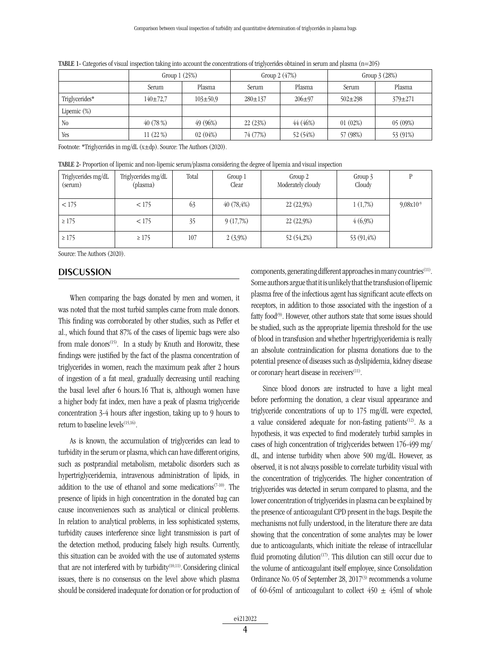|                | Group $1(25%)$ |                | Group $2(47%)$ |              | Group $3(28%)$ |               |
|----------------|----------------|----------------|----------------|--------------|----------------|---------------|
|                | Serum          | Plasma         | Serum          | Plasma       | Serum          | Plasma        |
| Triglycerides* | $140 \pm 72.7$ | $103 \pm 50.9$ | $280 \pm 137$  | $206 \pm 97$ | $502 \pm 298$  | $379 \pm 271$ |
| Lipemic $(\%)$ |                |                |                |              |                |               |
| N <sub>0</sub> | 40(78%)        | 49 (96%)       | 22(23%)        | 44(46%)      | 01(02%)        | 05(09%)       |
| Yes            | 11(22%)        | 02(04%)        | 74 (77%)       | 52 (54%)     | 57 (98%)       | 53 (91%)      |

TABLE 1- Categories of visual inspection taking into account the concentrations of triglycerides obtained in serum and plasma (n=205)

Footnote: \*Triglycerides in mg/dL (x±dp). Source: The Authors (2020).

TABLE 2- Proportion of lipemic and non-lipemic serum/plasma considering the degree of lipemia and visual inspection

| Triglycerides mg/dL<br>(serum) | Triglycerides mg/dL<br>(plasma) | Total | Group 1<br>Clear | Group 2<br>Moderately cloudy | Group 3<br>Cloudy |                |
|--------------------------------|---------------------------------|-------|------------------|------------------------------|-------------------|----------------|
| < 175                          | < 175                           | 63    | $40(78, 4\%)$    | 22 (22,9%)                   | 1(1,7%)           | $9,08x10^{-9}$ |
| $\geq 175$                     | < 175                           | 35    | 9(17,7%)         | 22 (22,9%)                   | $4(6,9\%)$        |                |
| $\geq 175$                     | $\geq 175$                      | 107   | $2(3,9\%)$       | 52 (54,2%)                   | 53 (91,4%)        |                |

Source: The Authors (2020).

#### **DISCUSSION**

When comparing the bags donated by men and women, it was noted that the most turbid samples came from male donors. This finding was corroborated by other studies, such as Peffer et al., which found that 87% of the cases of lipemic bags were also from male donors<sup>(15)</sup>. In a study by Knuth and Horowitz, these findings were justified by the fact of the plasma concentration of triglycerides in women, reach the maximum peak after 2 hours of ingestion of a fat meal, gradually decreasing until reaching the basal level after 6 hours.16 That is, although women have a higher body fat index, men have a peak of plasma triglyceride concentration 3-4 hours after ingestion, taking up to 9 hours to return to baseline levels<sup>(15,16)</sup>.

As is known, the accumulation of triglycerides can lead to turbidity in the serum or plasma, which can have different origins, such as postprandial metabolism, metabolic disorders such as hypertriglyceridemia, intravenous administration of lipids, in addition to the use of ethanol and some medications<sup> $(7-10)$ </sup>. The presence of lipids in high concentration in the donated bag can cause inconveniences such as analytical or clinical problems. In relation to analytical problems, in less sophisticated systems, turbidity causes interference since light transmission is part of the detection method, producing falsely high results. Currently, this situation can be avoided with the use of automated systems that are not interfered with by turbidity<sup>(10,11)</sup>. Considering clinical issues, there is no consensus on the level above which plasma should be considered inadequate for donation or for production of components, generating different approaches in many countries $(11)$ . Some authors argue that it is unlikely that the transfusion of lipemic plasma free of the infectious agent has significant acute effects on receptors, in addition to those associated with the ingestion of a fatty food<sup>(9)</sup>. However, other authors state that some issues should be studied, such as the appropriate lipemia threshold for the use of blood in transfusion and whether hypertriglyceridemia is really an absolute contraindication for plasma donations due to the potential presence of diseases such as dyslipidemia, kidney disease or coronary heart disease in receivers<sup>(11)</sup>.

Since blood donors are instructed to have a light meal before performing the donation, a clear visual appearance and triglyceride concentrations of up to 175 mg/dL were expected, a value considered adequate for non-fasting patients<sup> $(12)$ </sup>. As a hypothesis, it was expected to find moderately turbid samples in cases of high concentration of triglycerides between 176-499 mg/ dL, and intense turbidity when above 500 mg/dL. However, as observed, it is not always possible to correlate turbidity visual with the concentration of triglycerides. The higher concentration of triglycerides was detected in serum compared to plasma, and the lower concentration of triglycerides in plasma can be explained by the presence of anticoagulant CPD present in the bags. Despite the mechanisms not fully understood, in the literature there are data showing that the concentration of some analytes may be lower due to anticoagulants, which initiate the release of intracellular fluid promoting dilution<sup>(17)</sup>. This dilution can still occur due to the volume of anticoagulant itself employee, since Consolidation Ordinance No. 05 of September 28, 2017<sup>(3)</sup> recommends a volume of 60-65ml of anticoagulant to collect  $450 \pm 45$ ml of whole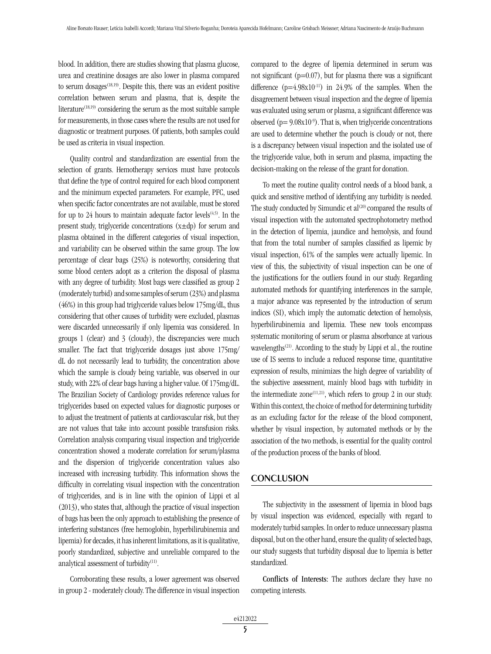blood. In addition, there are studies showing that plasma glucose, urea and creatinine dosages are also lower in plasma compared to serum dosages $(18,19)$ . Despite this, there was an evident positive correlation between serum and plasma, that is, despite the literature<sup> $(18,19)$ </sup> considering the serum as the most suitable sample for measurements, in those cases where the results are not used for diagnostic or treatment purposes. Of patients, both samples could be used as criteria in visual inspection.

Quality control and standardization are essential from the selection of grants. Hemotherapy services must have protocols that define the type of control required for each blood component and the minimum expected parameters. For example, PFC, used when specific factor concentrates are not available, must be stored for up to 24 hours to maintain adequate factor levels $(4,5)$ . In the present study, triglyceride concentrations  $(x \pm dp)$  for serum and plasma obtained in the different categories of visual inspection, and variability can be observed within the same group. The low percentage of clear bags (25%) is noteworthy, considering that some blood centers adopt as a criterion the disposal of plasma with any degree of turbidity. Most bags were classified as group 2 (moderately turbid) and some samples of serum (23%) and plasma (46%) in this group had triglyceride values below 175mg/dL, thus considering that other causes of turbidity were excluded, plasmas were discarded unnecessarily if only lipemia was considered. In groups 1 (clear) and 3 (cloudy), the discrepancies were much smaller. The fact that triglyceride dosages just above 175mg/ dL do not necessarily lead to turbidity, the concentration above which the sample is cloudy being variable, was observed in our study, with 22% of clear bags having a higher value. Of 175mg/dL. The Brazilian Society of Cardiology provides reference values for triglycerides based on expected values for diagnostic purposes or to adjust the treatment of patients at cardiovascular risk, but they are not values that take into account possible transfusion risks. Correlation analysis comparing visual inspection and triglyceride concentration showed a moderate correlation for serum/plasma and the dispersion of triglyceride concentration values also increased with increasing turbidity. This information shows the difficulty in correlating visual inspection with the concentration of triglycerides, and is in line with the opinion of Lippi et al (2013), who states that, although the practice of visual inspection of bags has been the only approach to establishing the presence of interfering substances (free hemoglobin, hyperbilirubinemia and lipemia) for decades, it has inherent limitations, as it is qualitative, poorly standardized, subjective and unreliable compared to the analytical assessment of turbidity $(11)$ .

Corroborating these results, a lower agreement was observed in group 2 - moderately cloudy. The difference in visual inspection compared to the degree of lipemia determined in serum was not significant ( $p=0.07$ ), but for plasma there was a significant difference  $(p=4.98x10^{-11})$  in 24.9% of the samples. When the disagreement between visual inspection and the degree of lipemia was evaluated using serum or plasma, a significant difference was observed ( $p= 9.08x10^{-9}$ ). That is, when triglyceride concentrations are used to determine whether the pouch is cloudy or not, there is a discrepancy between visual inspection and the isolated use of the triglyceride value, both in serum and plasma, impacting the decision-making on the release of the grant for donation.

To meet the routine quality control needs of a blood bank, a quick and sensitive method of identifying any turbidity is needed. The study conducted by Simundic et al<sup>(20)</sup> compared the results of visual inspection with the automated spectrophotometry method in the detection of lipemia, jaundice and hemolysis, and found that from the total number of samples classified as lipemic by visual inspection, 61% of the samples were actually lipemic. In view of this, the subjectivity of visual inspection can be one of the justifications for the outliers found in our study. Regarding automated methods for quantifying interferences in the sample, a major advance was represented by the introduction of serum indices (SI), which imply the automatic detection of hemolysis, hyperbilirubinemia and lipemia. These new tools encompass systematic monitoring of serum or plasma absorbance at various wavelengths<sup>(21)</sup>. According to the study by Lippi et al., the routine use of IS seems to include a reduced response time, quantitative expression of results, minimizes the high degree of variability of the subjective assessment, mainly blood bags with turbidity in the intermediate zone $^{(11,21)}$ , which refers to group 2 in our study. Within this context, the choice of method for determining turbidity as an excluding factor for the release of the blood component, whether by visual inspection, by automated methods or by the association of the two methods, is essential for the quality control of the production process of the banks of blood.

#### **CONCLUSION**

The subjectivity in the assessment of lipemia in blood bags by visual inspection was evidenced, especially with regard to moderately turbid samples. In order to reduce unnecessary plasma disposal, but on the other hand, ensure the quality of selected bags, our study suggests that turbidity disposal due to lipemia is better standardized.

Conflicts of Interests: The authors declare they have no competing interests.